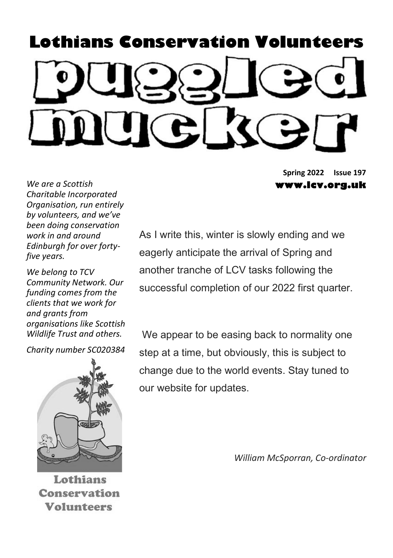# Lothians Conservation Volunteers

Spring 2022 Issue 197 www.lcv.org.uk

We are a Scottish Charitable Incorporated Organisation, run entirely by volunteers, and we've been doing conservation work in and around Edinburgh for over fortyfive years.

We belona to TCV Community Network. Our funding comes from the clients that we work for and grants from organisations like Scottish Wildlife Trust and others.

Charity number SC020384



Lothians Conservation **Volunteers** 

As I write this, winter is slowly ending and we eagerly anticipate the arrival of Spring and another tranche of LCV tasks following the successful completion of our 2022 first quarter.

 We appear to be easing back to normality one step at a time, but obviously, this is subject to change due to the world events. Stay tuned to our website for updates.

William McSporran, Co-ordinator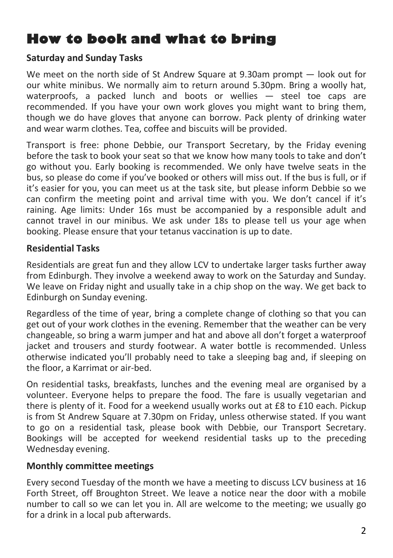## How to book and what to bring

#### Saturday and Sunday Tasks

We meet on the north side of St Andrew Square at 9.30am prompt – look out for our white minibus. We normally aim to return around 5.30pm. Bring a woolly hat, waterproofs, a packed lunch and boots or wellies — steel toe caps are recommended. If you have your own work gloves you might want to bring them, though we do have gloves that anyone can borrow. Pack plenty of drinking water and wear warm clothes. Tea, coffee and biscuits will be provided.

Transport is free: phone Debbie, our Transport Secretary, by the Friday evening before the task to book your seat so that we know how many tools to take and don't go without you. Early booking is recommended. We only have twelve seats in the bus, so please do come if you've booked or others will miss out. If the bus is full, or if it's easier for you, you can meet us at the task site, but please inform Debbie so we can confirm the meeting point and arrival time with you. We don't cancel if it's raining. Age limits: Under 16s must be accompanied by a responsible adult and cannot travel in our minibus. We ask under 18s to please tell us your age when booking. Please ensure that your tetanus vaccination is up to date.

#### Residential Tasks

Residentials are great fun and they allow LCV to undertake larger tasks further away from Edinburgh. They involve a weekend away to work on the Saturday and Sunday. We leave on Friday night and usually take in a chip shop on the way. We get back to Edinburgh on Sunday evening.

Regardless of the time of year, bring a complete change of clothing so that you can get out of your work clothes in the evening. Remember that the weather can be very changeable, so bring a warm jumper and hat and above all don't forget a waterproof jacket and trousers and sturdy footwear. A water bottle is recommended. Unless otherwise indicated you'll probably need to take a sleeping bag and, if sleeping on the floor, a Karrimat or air-bed.

On residential tasks, breakfasts, lunches and the evening meal are organised by a volunteer. Everyone helps to prepare the food. The fare is usually vegetarian and there is plenty of it. Food for a weekend usually works out at £8 to £10 each. Pickup is from St Andrew Square at 7.30pm on Friday, unless otherwise stated. If you want to go on a residential task, please book with Debbie, our Transport Secretary. Bookings will be accepted for weekend residential tasks up to the preceding Wednesday evening.

#### Monthly committee meetings

Every second Tuesday of the month we have a meeting to discuss LCV business at 16 Forth Street, off Broughton Street. We leave a notice near the door with a mobile number to call so we can let you in. All are welcome to the meeting; we usually go for a drink in a local pub afterwards.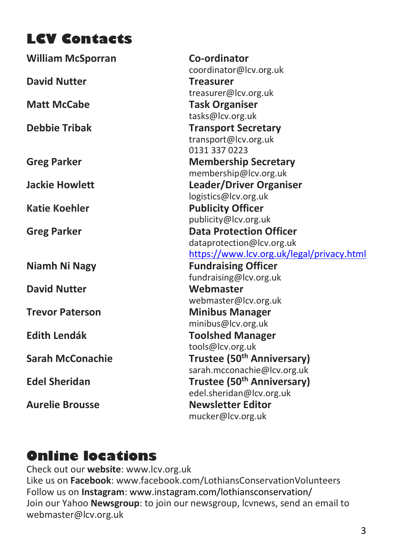# LCV Contacts

| <b>William McSporran</b> | Co-ordinator                              |
|--------------------------|-------------------------------------------|
|                          | coordinator@lcv.org.uk                    |
| <b>David Nutter</b>      | <b>Treasurer</b>                          |
|                          | treasurer@lcv.org.uk                      |
| <b>Matt McCabe</b>       | <b>Task Organiser</b>                     |
|                          | tasks@lcv.org.uk                          |
| <b>Debbie Tribak</b>     | <b>Transport Secretary</b>                |
|                          | transport@lcv.org.uk                      |
|                          | 0131 337 0223                             |
| <b>Greg Parker</b>       | <b>Membership Secretary</b>               |
|                          | membership@lcv.org.uk                     |
| <b>Jackie Howlett</b>    | Leader/Driver Organiser                   |
|                          | logistics@lcv.org.uk                      |
| <b>Katie Koehler</b>     | <b>Publicity Officer</b>                  |
|                          | publicity@lcv.org.uk                      |
| <b>Greg Parker</b>       | <b>Data Protection Officer</b>            |
|                          | dataprotection@lcv.org.uk                 |
|                          | https://www.lcv.org.uk/legal/privacy.html |
| <b>Niamh Ni Nagy</b>     | <b>Fundraising Officer</b>                |
|                          | fundraising@lcv.org.uk                    |
| <b>David Nutter</b>      | Webmaster                                 |
|                          | webmaster@lcv.org.uk                      |
| <b>Trevor Paterson</b>   | <b>Minibus Manager</b>                    |
|                          | minibus@lcv.org.uk                        |
| <b>Edith Lendák</b>      | <b>Toolshed Manager</b>                   |
|                          | tools@lcv.org.uk                          |
| <b>Sarah McConachie</b>  | Trustee (50 <sup>th</sup> Anniversary)    |
|                          | sarah.mcconachie@lcv.org.uk               |
| <b>Edel Sheridan</b>     | Trustee (50 <sup>th</sup> Anniversary)    |
|                          | edel.sheridan@lcv.org.uk                  |
| <b>Aurelie Brousse</b>   | <b>Newsletter Editor</b>                  |
|                          | mucker@lcv.org.uk                         |
|                          |                                           |

## Online locations

Check out our website: www.lcv.org.uk Like us on Facebook: www.facebook.com/LothiansConservationVolunteers Follow us on Instagram: www.instagram.com/lothiansconservation/ Join our Yahoo Newsgroup: to join our newsgroup, Icvnews, send an email to webmaster@lcv.org.uk